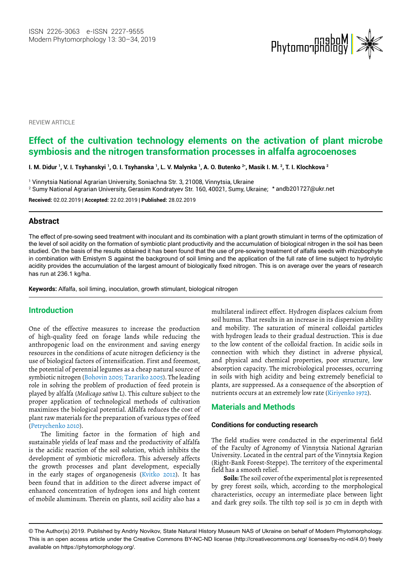

**REVIEW ARTICLE** 

# **Effect of the cultivation technology** *e***lements on the activation of plant microbe symbiosis and the nitrogen transformation processes in alfalfa agrocoenoses**

I. M. Didur <sup>1</sup>, V. I. Tsyhanskyi <sup>1</sup>, O. I. Tsyhanska <sup>1</sup>, L. V. Malynka <sup>1</sup>, A. O. Butenko 2\*, Masik I. M. <sup>2</sup>, T. I. Klochkova <sup>2</sup>

1 Vinnytsia National Agrarian University, Soniachna Str. 3, 21008, Vinnytsia, Ukraine

2 Sumy National Agrarian University, Gerasim Kondratyev Str. 160, 40021, Sumy, Ukraine; \* andb201727@ukr.net

**Received:** 02.02.2019 | **Accepted:** 22.02.2019 | **Published:** 28.02.2019

## **Abstract**

The effect of pre-sowing seed treatment with inoculant and its combination with a plant growth stimulant in terms of the optimization of the level of soil acidity on the formation of symbiotic plant productivity and the accumulation of biological nitrogen in the soil has been studied. On the basis of the results obtained it has been found that the use of pre-sowing treatment of alfalfa seeds with rhizobophyte in combination with Emistym S against the background of soil liming and the application of the full rate of lime subject to hydrolytic acidity provides the accumulation of the largest amount of biologically fixed nitrogen. This is on average over the years of research has run at 236.1 kg/ha.

**Keywords:** Alfalfa, soil liming, inoculation, growth stimulant, biological nitrogen

## **Introduction**

One of the effective measures to increase the production of high-quality feed on forage lands while reducing the anthropogenic load on the environment and saving energy resources in the conditions of acute nitrogen deficiency is the use of biological factors of intensification. First and foremost, the potential of perennial legumes as a cheap natural source of symbiotic nitrogen (Bohovin 2005; Tarariko 2005). The leading role in solving the problem of production of feed protein is played by alfalfa (*Medicago sativa* L). This culture subject to the proper application of technological methods of cultivation maximizes the biological potential. Alfalfa reduces the cost of plant raw materials for the preparation of various types of feed (Petrychenko 2010).

The limiting factor in the formation of high and sustainable yields of leaf mass and the productivity of alfalfa is the acidic reaction of the soil solution, which inhibits the development of symbiotic microflora. This adversely affects the growth processes and plant development, especially in the early stages of organogenesis (Kvitko 2012). It has been found that in addition to the direct adverse impact of enhanced concentration of hydrogen ions and high content of mobile aluminum. Therein on plants, soil acidity also has a

multilateral indirect effect. Hydrogen displaces calcium from soil humus. That results in an increase in its dispersion ability and mobility. The saturation of mineral colloidal particles with hydrogen leads to their gradual destruction. This is due to the low content of the colloidal fraction. In acidic soils in connection with which they distinct in adverse physical, and physical and chemical properties, poor structure, low absorption capacity. The microbiological processes, occurring in soils with high acidity and being extremely beneficial to plants, are suppressed. As a consequence of the absorption of nutrients occurs at an extremely low rate (Kiriyenko 1972).

## **Materials and Methods**

#### **Conditions for conducting research**

The field studies were conducted in the experimental field of the Faculty of Agronomy of Vinnytsia National Agrarian University. Located in the central part of the Vinnytsia Region (Right-Bank Forest-Steppe). The territory of the experimental field has a smooth relief.

**Soils:** The soil cover of the experimental plot is represented by grey forest soils, which, according to the morphological characteristics, occupy an intermediate place between light and dark grey soils. The tilth top soil is 30 cm in depth with

<sup>©</sup> The Author(s) 2019. Published by Andriy Novikov, State Natural History Museum NAS of Ukraine on behalf of Modern Phytomorphology. This is an open access article under the Creative Commons BY-NC-ND license (http://creativecommons.org/ licenses/by-nc-nd/4.0/) freely available on https://phytomorphology.org/.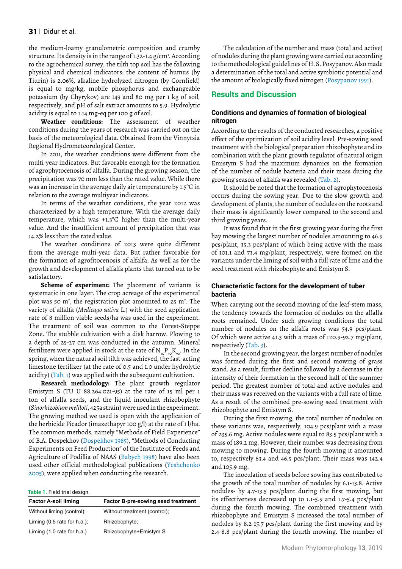the medium-loamy granulometric composition and crumby structure. Its density is in the range of 1.32-1.4 g/cm<sup>3</sup>. According to the agrochemical survey, the tilth top soil has the following physical and chemical indicators: the content of humus (by Tiurin) is 2.06%, alkaline hydrolyzed nitrogen (by Cornfield) is equal to mg/kg, mobile phosphorus and exchangeable potassium (by Chyrykov) are 149 and 80 mg per 1 kg of soil, respectively, and pH of salt extract amounts to 5.9. Hydrolytic acidity is equal to 1.14 mg-eq per 100 g of soil.

**Weather conditions:** The assessment of weather conditions during the years of research was carried out on the basis of the meteorological data. Obtained from the Vinnytsia Regional Hydrometeorological Center.

In 2011, the weather conditions were different from the multi-year indicators. But favorable enough for the formation of agrophytocenosis of alfalfa. During the growing season, the precipitation was 70 mm less than the rated value. While there was an increase in the average daily air temperature by 1.5°C in relation to the average multiyear indicators.

In terms of the weather conditions, the year 2012 was characterized by a high temperature. With the average daily temperature, which was +1.3°C higher than the multi-year value. And the insufficient amount of precipitation that was 14.2% less than the rated value.

The weather conditions of 2013 were quite different from the average multi-year data. But rather favorable for the formation of agrofitocenosis of alfalfa. As well as for the growth and development of alfalfa plants that turned out to be satisfactory.

**Scheme of experiment:** The placement of variants is systematic in one layer. The crop acreage of the experimental plot was 50 m<sup>2</sup>, the registration plot amounted to 25 m<sup>2</sup>. The variety of alfalfa (*Medicago sativa* L.) with the seed application rate of 8 million viable seeds/ha was used in the experiment. The treatment of soil was common to the Forest-Steppe Zone. The stubble cultivation with a disk harrow. Plowing to a depth of 25-27 cm was conducted in the autumn. Mineral fertilizers were applied in stock at the rate of  $N_{20}P_{90}K_{90}$ . In the spring, when the natural soil tilth was achieved, the fast-acting limestone fertilizer (at the rate of 0.5 and 1.0 under hydrolytic acidity) (Tab. 1) was applied with the subsequent cultivation.

**Research methodology:** The plant growth regulator Emistym S (TU U 88.264.021-95) at the rate of 15 ml per 1 ton of alfalfa seeds, and the liquid inoculant rhizobophyte (*Sinorhizobium meliloti*, 425a strain) were used in the experiment. The growing method we used is open with the application of the herbicide Picador (imazethapyr 100 g/l) at the rate of 1 l/ha. The common methods, namely "Methods of Field Experience" of B.A. Dospekhov (Dospekhov 1985), "Methods of Conducting Experiments on Feed Production" of the Institute of Feeds and Agriculture of Podillia of NAAS (Babych 1998) have also been used other official methodological publications (Yeshchenko 2005), were applied when conducting the research.

**Table 1.** Field trial design.

| <b>Factor A-soil liming</b>            | <b>Factor B-pre-sowing seed treatment</b> |  |  |  |  |  |
|----------------------------------------|-------------------------------------------|--|--|--|--|--|
| Without liming (control);              | Without treatment (control);              |  |  |  |  |  |
| Liming $(0.5 \text{ rate for } h.a.);$ | Rhizobophyte;                             |  |  |  |  |  |
| Liming $(1.0$ rate for h.a.)           | Rhizobophyte+Emistym S                    |  |  |  |  |  |

The calculation of the number and mass (total and active) of nodules during the plant growing were carried out according to the methodological guidelines of H. S. Posypanov. Also made a determination of the total and active symbiotic potential and the amount of biologically fixed nitrogen (Posypanov 1991).

## **Results and Discussion**

#### **Conditions and dynamics of formation of biological nitrogen**

According to the results of the conducted researches, a positive effect of the optimization of soil acidity level. Pre-sowing seed treatment with the biological preparation rhizobophyte and its combination with the plant growth regulator of natural origin Emistym S had the maximum dynamics on the formation of the number of nodule bacteria and their mass during the growing season of alfalfa was revealed (Tab. 2).

It should be noted that the formation of agrophytocenosis occurs during the sowing year. Due to the slow growth and development of plants, the number of nodules on the roots and their mass is significantly lower compared to the second and third growing years.

It was found that in the first growing year during the first hay mowing the largest number of nodules amounting to 46.9 pcs/plant, 35.3 pcs/plant of which being active with the mass of 101.1 and 73.4 mg/plant, respectively, were formed on the variants under the liming of soil with a full rate of lime and the seed treatment with rhizobophyte and Emistym S.

## **Characteristic factors for the development of tuber bacteria**

When carrying out the second mowing of the leaf-stem mass, the tendency towards the formation of nodules on the alfalfa roots remained. Under such growing conditions the total number of nodules on the alfalfa roots was 54.9 pcs/plant. Of which were active 41.3 with a mass of 120.9-92.7 mg/plant, respectively (Tab. 3).

In the second growing year, the largest number of nodules was formed during the first and second mowing of grass stand. As a result, further decline followed by a decrease in the intensity of their formation in the second half of the summer period. The greatest number of total and active nodules and their mass was received on the variants with a full rate of lime. As a result of the combined pre-sowing seed treatment with rhizobophyte and Emistym S.

During the first mowing, the total number of nodules on these variants was, respectively, 104.9 pcs/plant with a mass of 235.6 mg. Active nodules were equal to 83.5 pcs/plant with a mass of 189.2 mg. However, their number was decreasing from mowing to mowing. During the fourth mowing it amounted to, respectively 63.4 and 46.5 pcs/plant. Their mass was 142.4 and 105.9 mg.

The inoculation of seeds before sowing has contributed to the growth of the total number of nodules by 6.1-13.8. Active nodules- by 4.7-13.5 pcs/plant during the first mowing, but its effectiveness decreased up to 1.1-5.9 and 1.7-5.4 pcs/plant during the fourth mowing. The combined treatment with rhizobophyte and Emistym S increased the total number of nodules by 8.2-15.7 pcs/plant during the first mowing and by 2.4-8.8 pcs/plant during the fourth mowing. The number of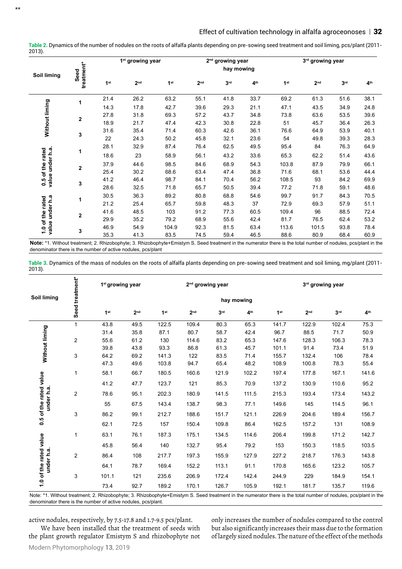|                                         | treatment*<br>Seed | 1 <sup>st</sup> growing year |                 |                 | 2 <sup>nd</sup> growing year |                 |                 | 3rd growing year |                 |                 |                 |
|-----------------------------------------|--------------------|------------------------------|-----------------|-----------------|------------------------------|-----------------|-----------------|------------------|-----------------|-----------------|-----------------|
| <b>Soil liming</b>                      |                    |                              |                 |                 |                              | hay mowing      |                 |                  |                 |                 |                 |
|                                         |                    | 1 <sup>st</sup>              | 2 <sub>nd</sub> | 1 <sup>st</sup> | 2 <sub>nd</sub>              | 3 <sup>rd</sup> | 4 <sup>th</sup> | 1 <sup>st</sup>  | 2 <sub>nd</sub> | 3 <sup>rd</sup> | 4 <sup>th</sup> |
|                                         | 1                  | 21.4                         | 26.2            | 63.2            | 55.1                         | 41.8            | 33.7            | 69.2             | 61.3            | 51.6            | 38.1            |
| Without liming                          |                    | 14.3                         | 17.8            | 42.7            | 39.6                         | 29.3            | 21.1            | 47.1             | 43.5            | 34.9            | 24.8            |
|                                         |                    | 27.8                         | 31.8            | 69.3            | 57.2                         | 43.7            | 34.8            | 73.8             | 63.6            | 53.5            | 39.6            |
|                                         | $\overline{2}$     | 18.9                         | 21.7            | 47.4            | 42.3                         | 30.8            | 22.8            | 51               | 45.7            | 36.4            | 26.3            |
|                                         | 3                  | 31.6                         | 35.4            | 71.4            | 60.3                         | 42.6            | 36.1            | 76.6             | 64.9            | 53.9            | 40.1            |
|                                         |                    | 22                           | 24.3            | 50.2            | 45.8                         | 32.1            | 23.6            | 54               | 49.8            | 39.3            | 28.3            |
|                                         | 1                  | 28.1                         | 32.9            | 87.4            | 76.4                         | 62.5            | 49.5            | 95.4             | 84              | 76.3            | 64.9            |
| value under h.a.<br>of the rated<br>0.5 |                    | 18.6                         | 23              | 58.9            | 56.1                         | 43.2            | 33.6            | 65.3             | 62.2            | 51.4            | 43.6            |
|                                         | $\overline{2}$     | 37.9                         | 44.6            | 98.5            | 84.6                         | 68.9            | 54.3            | 103.8            | 87.9            | 79.9            | 66.1            |
|                                         |                    | 25.4                         | 30.2            | 68.6            | 63.4                         | 47.4            | 36.8            | 71.6             | 68.1            | 53.6            | 44.4            |
|                                         | 3                  | 41.2                         | 46.4            | 98.7            | 84.1                         | 70.4            | 56.2            | 108.5            | 93              | 84.2            | 69.9            |
|                                         |                    | 28.6                         | 32.5            | 71.8            | 65.7                         | 50.5            | 39.4            | 77.2             | 71.8            | 59.1            | 48.6            |
| value under h.a<br>rated<br>1.0 of the  | 1                  | 30.5                         | 36.3            | 89.2            | 80.8                         | 68.8            | 54.6            | 99.7             | 91.7            | 84.3            | 70.5            |
|                                         |                    | 21.2                         | 25.4            | 65.7            | 59.8                         | 48.3            | 37              | 72.9             | 69.3            | 57.9            | 51.1            |
|                                         |                    | 41.6                         | 48.5            | 103             | 91.2                         | 77.3            | 60.5            | 109.4            | 96              | 88.5            | 72.4            |
|                                         | 2                  | 29.9                         | 35.2            | 79.2            | 68.9                         | 55.6            | 42.4            | 81.7             | 76.5            | 62.4            | 53.2            |
|                                         |                    | 46.9                         | 54.9            | 104.9           | 92.3                         | 81.5            | 63.4            | 113.6            | 101.5           | 93.8            | 78.4            |
|                                         | 3                  | 35.3                         | 41.3            | 83.5            | 74.5                         | 59.4            | 46.5            | 88.6             | 80.9            | 68.4            | 60.9            |

**Table 2.** Dynamics of the number of nodules on the roots of alfalfa plants depending on pre-sowing seed treatment and soil liming, pcs/plant (2011- 2013).

Note: \*1. Without treatment; 2. Rhizobophyte; 3. Rhizobophyte+Emistym S. Seed treatment in the numerator there is the total number of nodules, pcs/plant in the denominator there is the number of active nodules, pcs/plant

**Table 3.** Dynamics of the mass of nodules on the roots of alfalfa plants depending on pre-sowing seed treatment and soil liming, mg/plant (2011- 2013).

| Soil liming                                                                                                                                                     | Seed treatment* | 1 <sup>st</sup> growing year |                 |                 |                 | 2 <sup>nd</sup> growing year |                 |                 |                 | 3 <sup>rd</sup> growing year |                 |  |  |
|-----------------------------------------------------------------------------------------------------------------------------------------------------------------|-----------------|------------------------------|-----------------|-----------------|-----------------|------------------------------|-----------------|-----------------|-----------------|------------------------------|-----------------|--|--|
|                                                                                                                                                                 |                 |                              | hay mowing      |                 |                 |                              |                 |                 |                 |                              |                 |  |  |
|                                                                                                                                                                 |                 | 1 <sup>st</sup>              | 2 <sub>nd</sub> | 1 <sup>st</sup> | 2 <sub>nd</sub> | 3 <sup>rd</sup>              | 4 <sup>th</sup> | 1 <sup>st</sup> | 2 <sub>nd</sub> | 3 <sup>rd</sup>              | 4 <sup>th</sup> |  |  |
|                                                                                                                                                                 | $\mathbf{1}$    | 43.8                         | 49.5            | 122.5           | 109.4           | 80.3                         | 65.3            | 141.7           | 122.9           | 102.4                        | 75.3            |  |  |
| Without liming                                                                                                                                                  |                 | 31.4                         | 35.8            | 87.1            | 80.7            | 58.7                         | 42.4            | 96.7            | 88.5            | 71.7                         | 50.9            |  |  |
|                                                                                                                                                                 | $\overline{2}$  | 55.6                         | 61.2            | 130             | 114.6           | 83.2                         | 65.3            | 147.6           | 128.3           | 106.3                        | 78.3            |  |  |
|                                                                                                                                                                 |                 | 39.8                         | 43.8            | 93.3            | 86.8            | 61.3                         | 45.7            | 101.1           | 91.4            | 73.4                         | 51.9            |  |  |
|                                                                                                                                                                 | 3               | 64.2                         | 69.2            | 141.3           | 122             | 83.5                         | 71.4            | 155.7           | 132.4           | 106                          | 78.4            |  |  |
|                                                                                                                                                                 |                 | 47.3                         | 49.6            | 103.8           | 94.7            | 65.4                         | 48.2            | 108.9           | 100.8           | 78.3                         | 55.4            |  |  |
| 0.5 of the rated value<br>under h.a                                                                                                                             | 1               | 58.1                         | 66.7            | 180.5           | 160.6           | 121.9                        | 102.2           | 197.4           | 177.8           | 167.1                        | 141.6           |  |  |
|                                                                                                                                                                 |                 | 41.2                         | 47.7            | 123.7           | 121             | 85.3                         | 70.9            | 137.2           | 130.9           | 110.6                        | 95.2            |  |  |
|                                                                                                                                                                 | $\overline{2}$  | 78.6                         | 95.1            | 202.3           | 180.9           | 141.5                        | 111.5           | 215.3           | 193.4           | 173.4                        | 143.2           |  |  |
|                                                                                                                                                                 |                 | 55                           | 67.5            | 143.4           | 138.7           | 98.3                         | 77.1            | 149.6           | 145             | 114.5                        | 96.1            |  |  |
|                                                                                                                                                                 | 3               | 86.2                         | 99.1            | 212.7           | 188.6           | 151.7                        | 121.1           | 226.9           | 204.6           | 189.4                        | 156.7           |  |  |
|                                                                                                                                                                 |                 | 62.1                         | 72.5            | 157             | 150.4           | 109.8                        | 86.4            | 162.5           | 157.2           | 131                          | 108.9           |  |  |
| 1.0 of the rated value<br>under h.a                                                                                                                             | 1               | 63.1                         | 76.1            | 187.3           | 175.1           | 134.5                        | 114.6           | 206.4           | 199.8           | 171.2                        | 142.7           |  |  |
|                                                                                                                                                                 |                 | 45.8                         | 56.4            | 140             | 132.7           | 95.4                         | 79.2            | 153             | 150.3           | 118.5                        | 103.5           |  |  |
|                                                                                                                                                                 | $\overline{2}$  | 86.4                         | 108             | 217.7           | 197.3           | 155.9                        | 127.9           | 227.2           | 218.7           | 176.3                        | 143.8           |  |  |
|                                                                                                                                                                 |                 | 64.1                         | 78.7            | 169.4           | 152.2           | 113.1                        | 91.1            | 170.8           | 165.6           | 123.2                        | 105.7           |  |  |
|                                                                                                                                                                 | 3               | 101.1                        | 121             | 235.6           | 206.9           | 172.4                        | 142.4           | 244.9           | 229             | 184.9                        | 154.1           |  |  |
|                                                                                                                                                                 |                 | 73.4                         | 92.7            | 189.2           | 170.1           | 126.7                        | 105.9           | 192.1           | 181.7           | 135.7                        | 119.6           |  |  |
| Note: *1. Without treatment; 2. Rhizobophyte; 3. Rhizobophyte+Emistym S. Seed treatment in the numerator there is the total number of nodules, pcs/plant in the |                 |                              |                 |                 |                 |                              |                 |                 |                 |                              |                 |  |  |

denominator there is the number of active nodules, pcs/plant.

active nodules, respectively, by 7.5-17.8 and 1.7-9.5 pcs/plant.

We have been installed that the treatment of seeds with the plant growth regulator Emistym S and rhizobophyte not only increases the number of nodules compared to the control but also significantly increases their mass due to the formation of largely sized nodules. The nature of the effect of the methods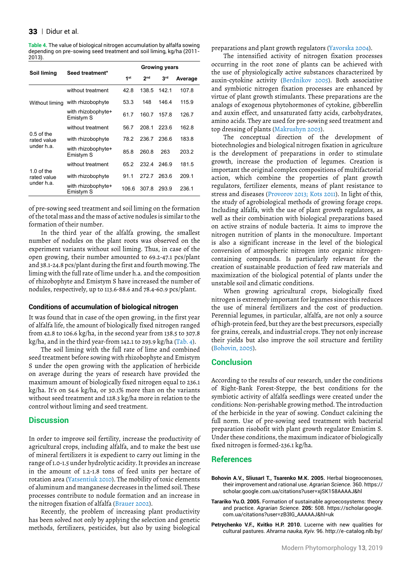#### $33$  | Didur et al.

**Table 4.** The value of biological nitrogen accumulation by alfalfa sowing depending on pre-sowing seed treatment and soil liming, kg/ha (2011- 2013).

|                                           | Seed treatment*                 | <b>Growing years</b> |                 |                 |         |  |  |  |
|-------------------------------------------|---------------------------------|----------------------|-----------------|-----------------|---------|--|--|--|
| Soil liming                               |                                 | 1 <sup>st</sup>      | 2 <sub>nd</sub> | 3 <sup>rd</sup> | Average |  |  |  |
| Without liming                            | without treatment               | 42.8                 | 138.5           | 142.1           | 107.8   |  |  |  |
|                                           | with rhizobophyte               | 53.3                 | 148             | 146.4           | 115.9   |  |  |  |
|                                           | with rhizobophyte+<br>Emistym S | 61.7                 | 160.7           | 157.8           | 126.7   |  |  |  |
| $0.5$ of the<br>rated value<br>under h.a. | without treatment               | 56.7                 | 208.1           | 223.6           | 162.8   |  |  |  |
|                                           | with rhizobophyte               | 78.2                 | 236.7           | 236.6           | 183.8   |  |  |  |
|                                           | with rhizobophyte+<br>Emistym S | 85.8                 | 260.8           | 263             | 203.2   |  |  |  |
|                                           | without treatment               | 652                  | 232.4           | 246.9           | 181.5   |  |  |  |
| $1.0$ of the<br>rated value               | with rhizobophyte               | 91.1                 | 272.7           | 263.6           | 209.1   |  |  |  |
| under h.a.                                | with rhizobophyte+<br>Emistym S | 106.6                | 3078            | 293.9           | 236.1   |  |  |  |

of pre-sowing seed treatment and soil liming on the formation of the total mass and the mass of active nodules is similar to the formation of their number.

In the third year of the alfalfa growing, the smallest number of nodules on the plant roots was observed on the experiment variants without soil liming. Thus, in case of the open growing, their number amounted to 69.2-47.1 pcs/plant and 38.1-24.8 pcs/plant during the first and fourth mowing. The liming with the full rate of lime under h.a. and the composition of rhizobophyte and Emistym S have increased the number of nodules, respectively, up to 113.6-88.6 and 78.4-60.9 pcs/plant.

#### **Conditions of accumulation of biological nitrogen**

It was found that in case of the open growing, in the first year of alfalfa life, the amount of biologically fixed nitrogen ranged from 42.8 to 106.6 kg/ha, in the second year from 138.5 to 307.8 kg/ha, and in the third year-from 142.1 to 293.9 kg/ha (Tab. 4).

The soil liming with the full rate of lime and combined seed treatment before sowing with rhizobophyte and Emistym S under the open growing with the application of herbicide on average during the years of research have provided the maximum amount of biologically fixed nitrogen equal to 236.1 kg/ha. It's on 54.6 kg/ha, or 30.1% more than on the variants without seed treatment and 128.3 kg/ha more in relation to the control without liming and seed treatment.

## **Discussion**

In order to improve soil fertility, increase the productivity of agricultural crops, including alfalfa, and to make the best use of mineral fertilizers it is expedient to carry out liming in the range of 1.0-1.5 under hydrolytic acidity. It provides an increase in the amount of 1.2-1.8 tons of feed units per hectare of rotation area (Yatsentiuk 2010). The mobility of toxic elements of aluminum and manganese decreases in the limed soil. These processes contribute to nodule formation and an increase in the nitrogen fixation of alfalfa (Brauer 2002).

Recently, the problem of increasing plant productivity has been solved not only by applying the selection and genetic methods, fertilizers, pesticides, but also by using biological preparations and plant growth regulators (Yavorska 2004).

The intensified activity of nitrogen fixation processes occurring in the root zone of plants can be achieved with the use of physiologically active substances characterized by auxin-cytokine activity (Berdnikov 2005). Both associative and symbiotic nitrogen fixation processes are enhanced by virtue of plant growth stimulants. These preparations are the analogs of exogenous phytohormones of cytokine, gibberellin and auxin effect, and unsaturated fatty acids, carbohydrates, amino acids. They are used for pre-sowing seed treatment and top dressing of plants (Makrushyn 2003).

The conceptual direction of the development of biotechnologies and biological nitrogen fixation in agriculture is the development of preparations in order to stimulate growth, increase the production of legumes. Creation is important the original complex compositions of multifactorial action, which combine the properties of plant growth regulators, fertilizer elements, means of plant resistance to stress and diseases (Provorov 2013; Kots 2011). In light of this, the study of agrobiological methods of growing forage crops. Including alfalfa, with the use of plant growth regulators, as well as their combination with biological preparations based on active strains of nodule bacteria. It aims to improve the nitrogen nutrition of plants in the monoculture. Important is also a significant increase in the level of the biological conversion of atmospheric nitrogen into organic nitrogencontaining compounds. Is particularly relevant for the creation of sustainable production of feed raw materials and maximization of the biological potential of plants under the unstable soil and climatic conditions.

When growing agricultural crops, biologically fixed nitrogen is extremely important for legumes since this reduces the use of mineral fertilizers and the cost of production. Perennial legumes, in particular, alfalfa, are not only a source of high-protein feed, but they are the best precursors, especially for grains, cereals, and industrial crops. They not only increase their yields but also improve the soil structure and fertility (Bohovin, 2005).

#### **Conclusion**

According to the results of our research, under the conditions of Right-Bank Forest-Steppe, the best conditions for the symbiotic activity of alfalfa seedlings were created under the conditions: Non-perishable growing method. The introduction of the herbicide in the year of sowing. Conduct calcining the full norm. Use of pre-sowing seed treatment with bacterial preparation risobofit with plant growth regulator Emistim S. Under these conditions, the maximum indicator of biologically fixed nitrogen is formed-236.1 kg/ha.

#### **References**

- **Bohovin A.V., SliusarI T., Tsarenko M.K. 2005.** Herbal biogeocenoses, their improvement and rational use. *Agrarian Science.* 360. https:// scholar.google.com.ua/citations?user=xjSK158AAAAJ&hl
- **Tarariko Yu.O. 2005.** Formation of sustainable agroecosystems: theory and practice. *Agrarian Science.* **205:** 508. https://scholar.google. com.ua/citations?user=zB3lG\_AAAAAJ&hl=uk
- **Petrychenko V.F., Kvitko H.P. 2010.** Lucerne with new qualities for cultural pastures. *Ahrarna nauka, Kyiv.* 96. http://e-catalog.nlb.by/